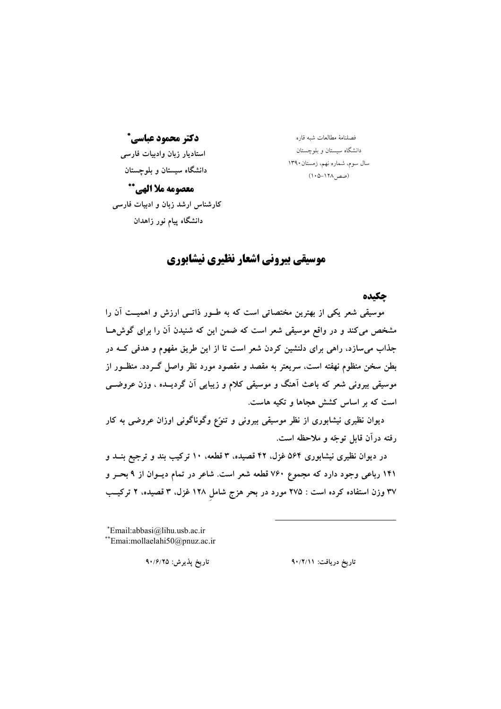دكتر محمود عباسي\* استاديار زبان وادبيات فارسى دانشگاه سیستان و بلوچستان

معصومه ملأ الهي\*\* کارشناس ارشد زبان و ادبیات فارسی دانشگاه پیام نور زاهدان

فصلنامهٔ مطالعات شبه قاره دانشگاه سیستان و بلوچستان سال سوم، شماره نهم، زمستان۱۳۹۰ (صص1۲۸–۱۰۵)

## موسیقی بیرونی اشعار نظیری نیشابوری

حكىده

موسیقی شعر یکی از بهترین مختصاتی است که به طــور ذاتــی ارزش و اهمیــت آن را مشخص میکند و در واقع موسیقی شعر است که ضمن این که شنیدن آن را برای گوش هـا جذاب می سازد، راهی برای دلنشین کردن شعر است تا از این طریق مفهوم و هدفی کـه در بطن سخن منظوم نهفته است، سریعتر به مقصد و مقصود مورد نظر واصل گــردد. منظــور از موسیقی بیرونی شعر که باعث آهنگ و موسیقی کلام و زیبایی آن گردیــده ، وزن عروضــی است که بر اساس کشش هجاها و تکیه هاست.

دیوان نظیری نیشابوری از نظر موسیقی بیرونی و تنوّع وگوناگونی اوزان عروضی به کار رفته درآن قابل توجّه و ملاحظه است.

در دیوان نظیری نیشابوری ۵۶۴ غزل، ۴۲ قصیده، ۳ قطعه، ۱۰ ترکیب بند و ترجیع بنــد و ۱۴۱ رباعی وجود دارد که مجموع ۷۶۰ قطعه شعر است. شاعر در تمام دیــوان از ۹ بحــر و ۳۷ وزن استفاده کرده است : ۲۷۵ مورد در بحر هزج شامل ۱۲۸ غزل، ۳ قصیده، ۲ ترکیــب

\*Email:abbasi@lihu.usb.ac.ir \*\*Emai:mollaelahi50@pnuz.ac.ir

تاريخ يذيرش: ٩٠/۶/٢٥

تاريخ دريافت: ٩٠/٢/١١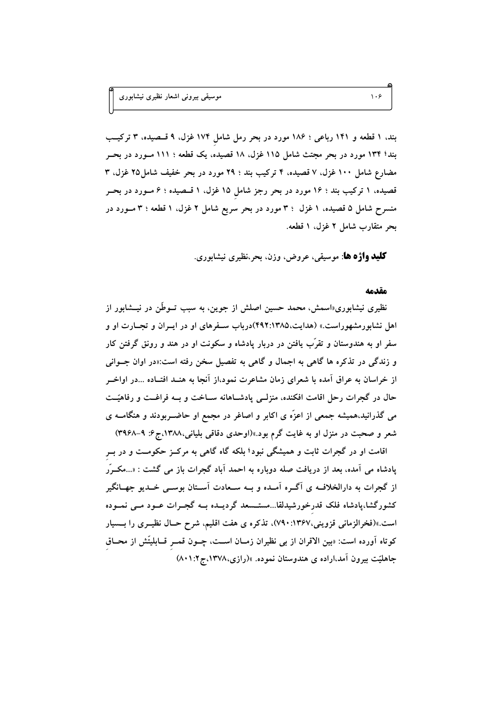بند، ۱ قطعه و ۱۴۱ رباعی ؛ ۱۸۶ مورد در بحر رمل شامل ۱۷۴ غزل، ۹ قسصیده، ۳ ترکیب بند؛ ۱۳۴ مورد در بحر مجتث شامل ۱۱۵ غزل، ۱۸ قصیده، یک قطعه ؛ ۱۱۱ مـورد در بحــر مضارع شامل ۱۰۰ غزل، ۷ قصیده، ۴ ترکیب بند ؛ ۲۹ مورد در بحر خفیف شامل۲۵ غزل، ۳ قصیده، ۱ ترکیب بند ؛ ۱۶ مورد در بحر رجز شامل ۱۵ غزل، ۱ قــصیده ؛ ۶ مــورد در بحــر منسرح شامل ۵ قصیده، ۱ غزل ۳ : ۳ مورد در بحر سریع شامل ۲ غزل، ۱ قطعه ؛ ۳ مــورد در بحر متقارب شامل ٢ غزل. ١ قطعه.

**کلید واژه ها**: موسیقی، عروض، وزن، بحر،نظیری نیشابوری.

#### مقدمه

نظیری نیشابوری«اسمش، محمد حسین اصلش از جوین، به سبب تــوطَّن در نیـــشابور از اهل نشابورمشهوراست.» (هدایت،۴۹۲:۱۳۸۵)درباب سـفرهای او در ایــران و تجــارت او و سفر او به هندوستان و تقرَّب یافتن در دربار یادشاه و سکونت او در هند و رونق گرفتن کار و زندگی در تذکره ها گاهی به اجمال و گاهی به تفصیل سخن رفته است:«در اوان جــوانی از خراسان به عراق آمده با شعرای زمان مشاعرت نمود،از آنجا به هنــد افتــاده …در اواخــر حال در گجرات رحل اقامت افکنده، منزلــی پادشــاهانه ســاخت و بــه فراغــت و رفاهیّــت می گذرانید،همیشه جمعی از اعزّه ی اکابر و اصاغر در مجمع او حاضــربودند و هنگامــه ی شعر و صحبت در منزل او به غایت گرم بود.»(اوحدی دقاقی بلیانی،۱۳۸۸،ج۶: ۹-۳۹۶۸)

اقامت او در گجرات ثابت و همیشگی نبود؛ بلکه گاه گاهی به مرکــز حکومــت و در بــر پادشاه می آمده، بعد از دریافت صله دوباره به احمد آباد گجرات باز می گشت : «...مکــرّر از گجرات به دارالخلاف یی آگـره آمـده و بــه ســعادت آســتان بوســی خــدیو جهــانگیر کشورگشا،پادشاه فلک قدرخورشیدلقا...مستــسعد گردیــده بــه گجــرات عــود مــی نمــوده است.»(فخرالزمانی قزوینی،۱۳۶۷: ۷۹۰)، تذکره ی هفت اقلیم، شرح حـال نظیــری را بـــسیار كوتاه آورده است: «بين الاقران از بي نظيران زمــان اســت، چــون قمــر قــابليتّش از محــاق جاهلیّت بیرون آمد،اراده ی هندوستان نموده. »(رازی،۱۳۷۸،ج۱:۱.۸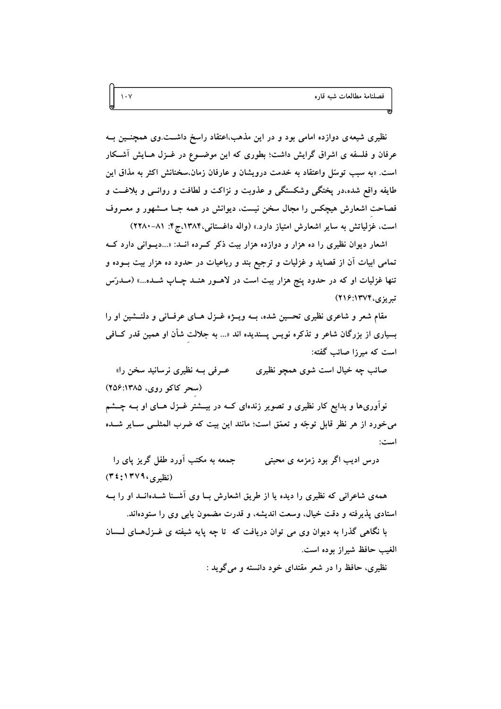نظیری شیعه ی دوازده امامی بود و در این مذهب،اعتقاد راسخ داشــت وی همچنــین بــه عرفان و فلسفه ی اشراق گرایش داشت؛ بطوری که این موضـوع در غــزل هــایش آشــکار است. «به سبب توسّل واعتقاد به خدمت درویشان و عارفان زمان،سخنانش اکثر به مذاق این طايفه واقع شده،در يختگي وشكستگي و عذوبت و نزاكت و لطافت و روانــي و بلاغــت و فصاحت اشعارش هیچکس را مجال سخن نیست، دیوانش در همه جـا مـشهور و معـروف است، غزلیاتش به سایر اشعارش امتیاز دارد.» (واله داغستانی،۱۳۸۴،ج۴: ۸۱–۲۲۸۰)

اشعار دیوان نظیری را ده هزار و دوازده هزار بیت ذکر که ده انسد: «...دیسوانی دارد ک تمامی ابیات آن از قصاید و غزلیات و ترجیع بند و رباعیات در حدود ده هزار بیت بــوده و تنها غزلیات او که در حدود پنج هزار بیت است در لاهـور هنـد چـاپ شـده...» (مـدرّس تېریزي، ۲۱۴۷۴: ۲۱۶)

مقام شعر و شاعری نظیری تحسین شده، بــه ویــژه غــزل هــای عرفــانی و دلنــشین او را بسیاری از بزرگان شاعر و تذکره نویس پسندیده اند «... به جلالت شأن او همین قدر کــافی است که میرزا صائب گفته:

عــرفي بــه نظيري نرسانيد سخن را» صائب چه خیال است شوی همچو نظیری (سحر کاکو روی، ۱۳۸۵: ۲۵۶)

نوآوریها و بدایع کار نظیری و تصویر زندهای کــه در بیـــشتر غــزل هــای او بــه چـــشم می خورد از هر نظر قابل توجّه و تعمّق است؛ مانند این بیت که ضرب المثلـی سـایر شــده است:

جمعه به مکتب آورد طفل گریز پای را درس ادیب اگر بود زمزمه ی محبتی (نظیری، ۱۳۷۹: ۳٤)

همهی شاعرانی که نظیری را دیده یا از طریق اشعارش بــا وی آشــنا شــدهانــد او را بــه استادي پذيرفته و دقت خيال، وسعت انديشه، و قدرت مضمون پايي وي را ستودهاند.

با نگاهی گذرا به دیوان وی می توان دریافت که تا چه پایه شیفته ی غــزل(حـای لــسان الغيب حافظ شيراز بوده است.

نظیری، حافظ را در شعر مقتدای خود دانسته و میگوید :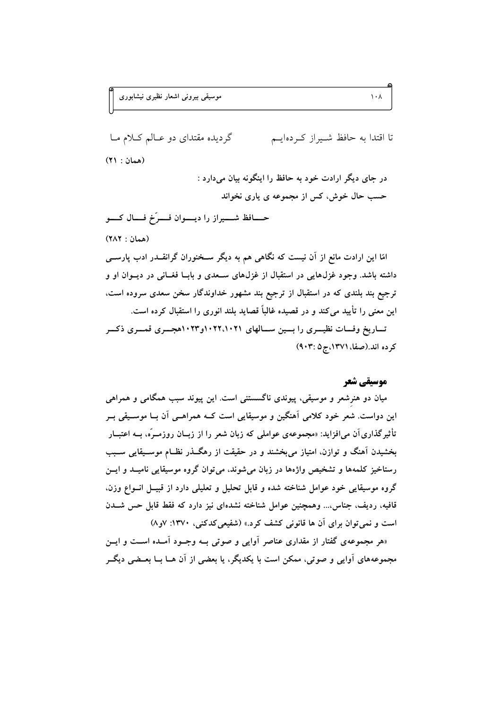گردیده مقتدای دو عبالم کیلام میا تا اقتدا به حافظ شـيراز كـردهايــم (همان : ٢١)

> در جای دیگر ارادت خود به حافظ را اینگونه بیان میدارد : حسب حال خوش، کس از مجموعه ی پاری نخواند

حـــافظ شــــيراز را ديــــوان فــــرّخ فـــال كــــو

(همان: ٢٨٢)

امّا این ارادت مانع از آن نیست که نگاهی هم به دیگر سـخنوران گرانقــدر ادب پارســی داشته باشد. وجود غزلهایی در استقبال از غزلهای ســعدی و بابــا فغــانی در دیــوان او و ترجیع بند بلندی که در استقبال از ترجیع بند مشهور خداوندگار سخن سعدی سروده است. این معنی را تأیید می کند و در قصیده غالباً قصاید بلند انوری را استقبال کرده است. تساریخ وفسات نظیسری را بسین سسالهای ۱۰۲۲٬۱۰۲۱و۱۰۲۳هجسری قمسری ذکسر کرده اند.(صفا، ۱۳۷۱،ج۵ :۹۰۳)

## موسیقی شعر

میان دو هنرشعر و موسیقی، پیوندی ناگسستنی است. این پیوند سبب همگامی و همراهی این دواست. شعر خود کلامی آهنگین و موسیقایی است کــه همراهــی آن بــا موســیقی بــر تأثیر گذاری آن می افزاید: «مجموعهی عواملی که زبان شعر را از زبــان روزمــرّه، بــه اعتبــار بخشیدن آهنگ و توازن، امتیاز میبخشند و در حقیقت از رهگـذر نظـام موسـیقایی سـبب رستاخیز کلمهها و تشخیص واژهها در زبان میشوند. می توان گروه موسیقایی نامیــد و ایــن گروه موسیقایی خود عوامل شناخته شده و قابل تحلیل و تعلیلی دارد از قبیــل انــواع وزن. قافیه، ردیف، جناس... وهمچنین عوامل شناخته نشدهای نیز دارد که فقط قابل حس شــدن است و نمی توان برای آن ها قانونی کشف کرد.» (شفیعی کدکنی، ۱۳۷۰: ۷و۸)

«هر مجموعهی گفتار از مقداری عناصر آوایی و صوتی بـه وجـود آمـده اسـت و ایــن مجموعههای آوایی و صوتی، ممکن است با یکدیگر، یا بعضی از آن هــا بــا بعــضی دیگــر

 $\lambda \cdot \lambda$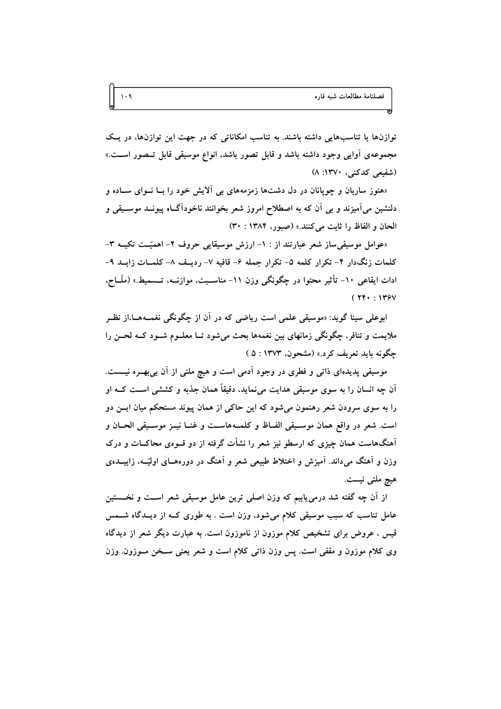توازنها یا تناسبهایی داشته باشند. به تناسب امکاناتی که در جهت این توازنها، در یک مجموعهی آوایی وجود داشته باشد و قابل تصور باشد، انواع موسیقی قابل تــصور اســت.» (شفیعی کدکنی، ۱۳۷۰: ۸)

«هنوز ساربان و چوپانان در دل دشتها زمزمههای بی آلایش خود را بـا نــوای ســاده و دلنشین می آمیزند و بی آن که به اصطلاح امروز شعر بخوانند ناخودآگIه پیونــد موســیقی و الحان و الفاظ را ثابت مي كنند.» (صبور، ١٣٨٤ : ٣٠)

«عوامل موسیقی ساز شعر عبارتند از : ١- ارزش موسیقایی حروف ٢- اهمیّـت تکیــه ٣-کلمات زنگدار ۴- تکرار کلمه ۵- تکرار جمله ۶- قافیه ۷- ردیف ۸- کلمیات زایید ۹-ادات ایقاعی ۱۰- تأثیر محتوا در چگونگی وزن ۱۱- مناسبت، موازنــه، تــسمیط.» (ملّــاح،  $(114 \cdot 1175)$ 

ابوعلي سينا گويد: «موسيقي علمي است رياضي كه در آن از چگونگي نغمـههـا،از نظـر ملایمت و تنافر، چگونگی زمانهای بین نغمهها بحث میشود تــا معلــوم شــود کــه لحــن را حِگُونه بايد تعريف كرد.» (مشحون، ۱۳۷۳ : ۵)

موسیقی پدیدهای ذاتی و فطری در وجود اَدمی است و هیچ ملتی از اَن بیبهــره نیـــست. اّن چه انسان را به سوی موسیقی هدایت میٖنماید. دقیقاً همان جذبه و کششی اســت کــه او را به سوی سرودن شعر رهنمون میشود که این حاکی از همان پیوند مستحکم میان ایــن دو است. شعر در واقع همان موسـيقى الفــاظ و كلمــههاســت و غنــا نيــز موسـيقى الحــان و آهنگهاست همان چیزی که ارسطو نیز شعر را نشأت گرفته از دو قــوهی محاکــات و درک وزن و آهنگ میداند. آمیزش و اختلاط طبیعی شعر و آهنگ در دورههــای اولیّــه، زاییـــده.ی هيچ ملتي نيست.

از آن چه گفته شد درمی،یابیم که وزن اصلی ترین عامل موسیقی شعر اسـت و نخـــستین عامل تناسب که سبب موسیقی کلام میشود، وزن است . به طوری کــه از دیــدگاه شـــمس قیس ، عروض برای تشخیص کلام موزون از ناموزون است. به عبارت دیگر شعر از دیدگاه وی کلام موزون و مقفی است. پس وزن ذاتی کلام است و شعر یعنی سـخن مـوزون. وزن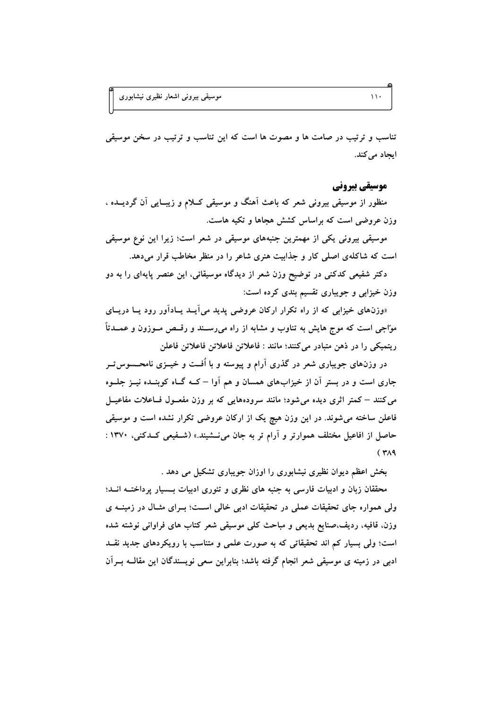تناسب و ترتیب در صامت ها و مصوت ها است که این تناسب و ترتیب در سخن موسیقی ایجاد می کند.

موسیقی بیرونی

منظور از موسیقی بیرونی شعر که باعث اَهنگ و موسیقی کــلام و زیبــایی اَن گردیــده ، وزن عروضی است که براساس کشش هجاها و تکیه هاست.

موسیقی بیرونی یکی از مهمترین جنبههای موسیقی در شعر است؛ زیرا این نوع موسیقی است که شاکلهی اصلی کار و جذابیت هنری شاعر را در منظر مخاطب قرار میدهد.

دکتر شفیعی کدکنی در توضیح وزن شعر از دیدگاه موسیقائی، این عنصر پایهای را به دو وزن خیزابی و جویباری تقسیم بندی کرده است:

«وزنهای خیزابی که از راه تکرار ارکان عروضی پدید می آیــد یــادآور رود یــا دریــای موّاجی است که موج هایش به تناوب و مشابه از راه می٫رسـند و رقــص مــوزون و عمــدتاً ريتميكي را در ذهن متبادر مي كنند؛ مانند : فاعلاتن فاعلاتن فاعلاتن فاعلن

در وزنهای جویباری شعر در گذری آرام و پیوسته و با اُفــت و خیــزی نامحــسوس تــر جاری است و در بستر آن از خیزابهای همسان و هم آوا – کــه گــاه کوینــده نیــز جلــوه می کنند – کمتر اثری دیده می شود؛ مانند سرودههایی که بر وزن مفعــول فــاعلات مفاعیــل فاعلن ساخته میشوند. در این وزن هیچ یک از ارکان عروضی تکرار نشده است و موسیقی حاصل از افاعیل مختلف هموارتر و آرام تر به جان می نشیند.» (شـفیعی کـدکنی، ۱۳۷۰ :  $(1)$ 

بخش اعظم دیوان نظیری نیشابوری را اوزان جویباری تشکیل می دهد .

محققان زبان و ادبیات فارسی به جنبه های نظری و تئوری ادبیات بـسیار پرداختــه انــد؛ ولی همواره جای تحقیقات عملی در تحقیقات ادبی خالی است؛ بـرای مثـال در زمینــه ی وزن، قافیه، ردیف،صنایع بدیعی و مباحث کلی موسیقی شعر کتاب های فراوانی نوشته شده است؛ ولی بسیار کم اند تحقیقاتی که به صورت علمی و متناسب با رویکردهای جدید نقـد ادبی در زمینه ی موسیقی شعر انجام گرفته باشد؛ بنابراین سعی نویسندگان این مقالــه بــراَن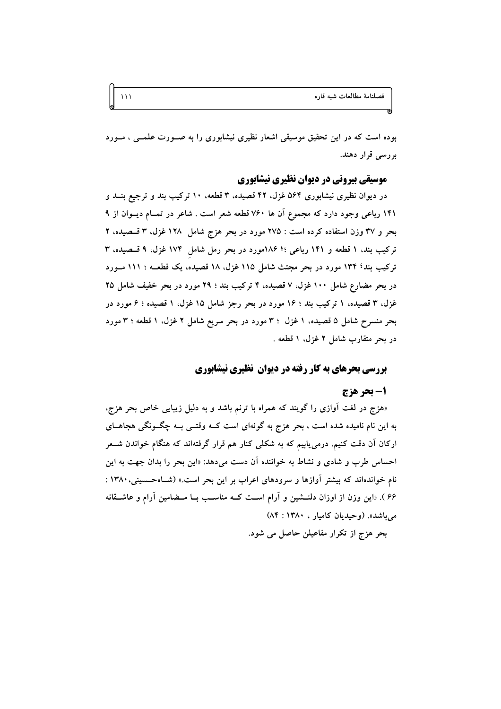بوده است که در این تحقیق موسیقی اشعار نظیری نیشابوری را به صـورت علمــی ، مــورد بررسی قرار دهند.

## موسیقی بیرونی در دیوان نظیری نیشابوری

در دیوان نظیری نیشابوری ۵۶۴ غزل، ۴۲ قصیده، ۳ قطعه، ۱۰ ترکیب بند و ترجیع بنــد و ۱۴۱ رباعی وجود دارد که مجموع آن ها ۷۶۰ قطعه شعر است . شاعر در تمـام دیــوان از ۹ بحر و ۳۷ وزن استفاده کرده است : ۲۷۵ مورد در بحر هزج شامل ۱۲۸ غزل، ۳ قـصیده، ۲ ترکیب بند، ۱ قطعه و ۱۴۱ رباعی ؛؛ ۱۸۶مورد در بحر رمل شامل ۱۷۴ غزل، ۹ قسصیده، ۳ ترکیب بند؛ ۱۳۴ مورد در بحر مجتث شامل ۱۱۵ غزل، ۱۸ قصیده، یک قطعــه ؛ ۱۱۱ مــورد در بحر مضارع شامل ۱۰۰ غزل، ۷ قصیده، ۴ ترکیب بند ؛ ۲۹ مورد در بحر خفیف شامل ۲۵ غزل، ۳ قصیده، ۱ ترکیب بند ؛ ۱۶ مورد در بحر رجز شامل ۱۵ غزل، ۱ قصیده ؛ ۶ مورد در بحر منسرح شامل ۵ قصیده، ۱ غزل ۳۰ مورد در بحر سریع شامل ۲ غزل، ۱ قطعه ۳: مورد در بحر متقارب شامل ۲ غزل، ۱ قطعه .

## **بررسی بحرهای به کار رفته در دیوان نظیری نیشابوری**

#### 1- بحر هزج

«هزج در لغت آوازی را گویند که همراه با ترنم باشد و به دلیل زیبایی خاص بحر هزج، به این نام نامیده شده است ، بحر هزج به گونهای است کــه وقتــی بــه چگــونگی هجاهــای ارکان اَن دقت کنیم، درمی،یابیم که به شکلی کنار هم قرار گرفتهاند که هنگام خواندن شــعر احساس طرب و شادی و نشاط به خواننده آن دست میدهد: «این بحر را بدان جهت به این نام خواندهاند که بیشتر آوازها و سرودهای اعراب بر این بحر است.» (شـاهحـسینی،۱۳۸۰ : ۶۶ ). «این وزن از اوزان دلنـــشین و آرام اســـت کــه مناســب بــا مــضامین آرام و عاشـــقانه می باشد». (وحیدیان کامیار ، ۱۳۸۰: ۸۴)

بحر هزج از تکرار مفاعیلن حاصل می شود.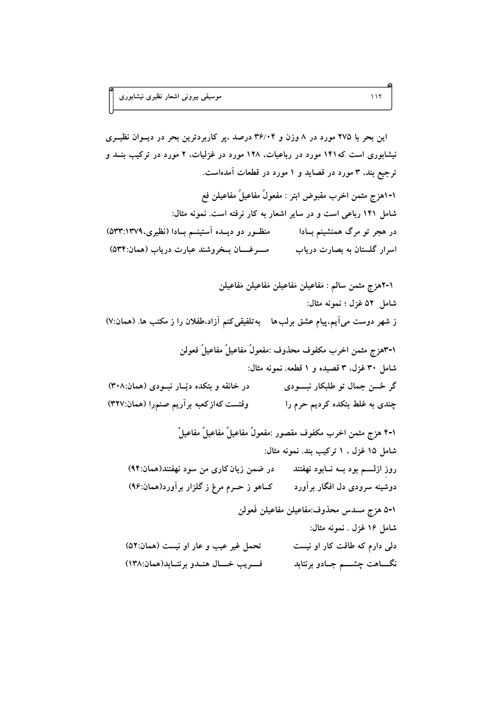این بحر با ۲۷۵ مورد در ۸ وزن و ۳۶/۰۴ درصد ،پر کاربردترین بحر در دیسوان نظیـری نیشابوری است که۱۴۱ مورد در رباعیات، ۱۲۸ مورد در غزلیات، ۲ مورد در ترکیب بنــد و ترجیع بند، ۳ مورد در قصاید و ۱ مورد در قطعات آمدهاست. ١-١هزج مثمن اخرب مقبوض ابتر : مفعولٌ مفاعيلٌ مفاعيلن فع شامل ۱۴۱ رباعی است و در سایر اشعار به کار نرفته است. نمونه مثال: در هجر تو مرگ همنشینم بـادا منظـــور دو دیــده آستینـــم بــادا (نظیری،١٣٧٩:٥٣٣) ١-٢ﻫزج مثمن سالم : مَفاعيلن مَفاعيلن مَفاعيلن مَفاعيلن شامل ٥٢ غزل ؛ نمونه مثال: ز شهر دوست میآیم،پیام عشق برلبها بهتلفیقی کنم آزاد،طفلان را ز مکتب ها. (همان:۷) ١-٣هزج مثمن اخرب مكفوف محذوف :مفعولٌ مفاعيلٌ مفاعيلٌ فعولن شامل ۳۰ غزل، ۳ قصیده و ۱ قطعه. نمونه مثال: گر ځسن جمال تو طلبکار نېسودی در خانقه و بتکده دیّـار نبـودی (همان:۳۰۸) وقتست كهازكعبه برأريم صنمرا (همان:٣٢٧) چندی به غلط بتکده کردیم حرم را ١-۴ هزج مثمن اخرب مكفوف مقصور :مفعولُ مفاعيلُ مفاعيلُ مفاعيلٌ شامل ۱۵ غزل ، ۱ ترکیب بند. نمونه مثال: روز ازلـــم بود بــه نــابود نهفتند در ضمن زيان كاري من سود نهفتند(همان:٩۴) دوشینه سرودی دل افگار برآورد کـاهو ز حــرم مرغ ز گلزار برآورد(همان:۹۶) ٥-١ هزج مسدس محذوف:مفاعيلن مفاعيلن فَعولن شامل ۱۶ غزل . نمونه مثال: تحمل غیر عیب و عار او نیست (همان:٥٢) دلی دارم که طاقت کار او نیست نگــــاهت چشـــــم جــادو برنتابد ف وب خسال هندو برنتــابد(همان:١٣٨)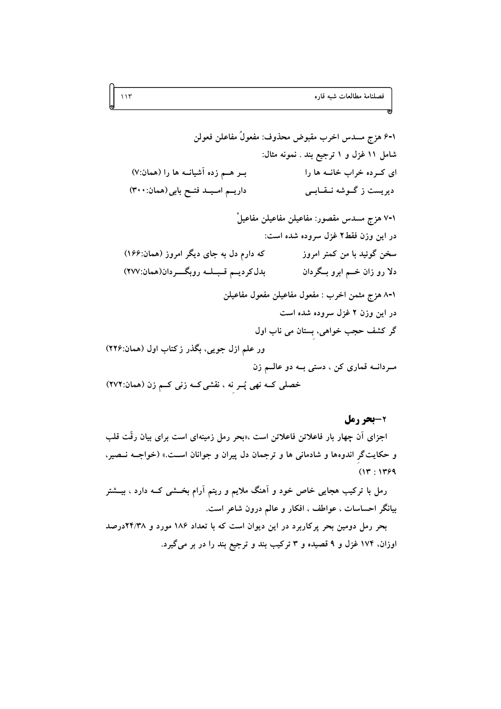١-۶ هزج مسدس اخرب مقبوض محذوف: مفعولٌ مفاعلن فعولن شامل ۱۱ غزل و ۱ ترجیع بند . نمونه مثال: بـر هــم زده آشيانــه ها را (همان:٧) ای که ده خراب خانـه ها را داريم اميد فتح بابي (همان: ٣٠٠) دیریست ز گـوشه نـقـابـی ٧-٧ هزج مسدس مقصور: مفاعيلن مفاعيلن مفاعيلْ در اين وزن فقط۲ غزل سروده شده است: که دارم دل به جای دیگر امروز (همان:۱۶۶) سخن گوئید با من کمتر امروز بدل كرديم قبله روبكردان(همان:٢٧٧) دلا رو زان خـــم ابرو بــگردان ٨-١ هزج مثمن اخرب : مفعول مفاعيلن مفعول مفاعيلن در این وزن ۲ غزل سروده شده است گر کشف حجب خواهی، بستان می ناب اول ور علم ازل جویی، بگذر زکتاب اول (همان:۲۲۶) مردانــه قماری کن ، دستی بــه دو عالــم زن

خصلی کــه نهی پُــر نه ، نقشی کــه زنی کــم زن (همان:۲۷۲)

2-بحر رمل

اجزای آن چهار بار فاعلاتن فاعلاتن است ،«بحر رمل زمینهای است برای بیان رقّت قلب و حکایتگر اندوهها و شادمانی ها و ترجمان دل پیران و جوانان اسـت.» (خواجــه نــصیر،  $(14.148)$ 

رمل با ترکیب هجایی خاص خود و آهنگ ملایم و ریتم آرام بخــشی کــه دارد ، بیــشتر بیانگر احساسات ، عواطف ، افکار و عالم درون شاعر است.

بحر رمل دومین بحر پرکاربرد در این دیوان است که با تعداد ۱۸۶ مورد و ۲۴/۳۸درصد اوزان، ۱۷۴ غزل و ۹ قصیده و ۳ ترکیب بند و ترجیع بند را در بر میگیرد.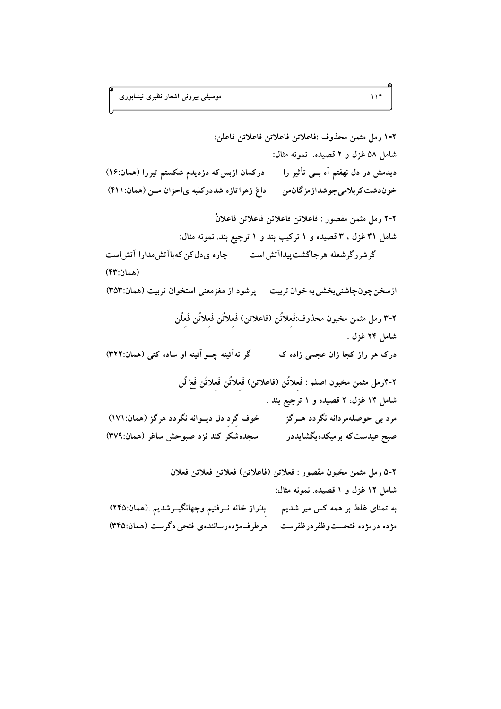به تمنای غلط بر همه کس میر شدیم مس بِدَراز خانه نــرفتیم وجهانگیــرشدیم .(همان:۲۴۵) مژده درمژده فتحستوظفردرظفرست ممرطرف مژدهرسانندهی فتحی دگرست (همان:۳۴۵)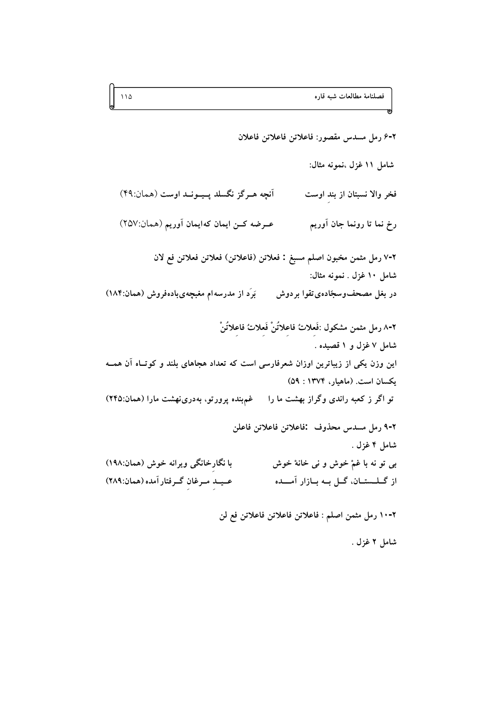فصلنامهٔ مطالعات شبه قاره

٢-۶ رمل مسدس مقصور: فاعلاتن فاعلاتن فاعلان شامل ١١ غزل ،نمونه مثال: آنچه هـرگز نگسلد پـيــونــد اوست (همان:۴۹) فخر والا نسبتان از بند اوست عـرضه كـن ايمان كهايمان آوريم (همان:٢٥٧) رخ نما تا رونما جان آوريم ٧-٧ رمل مثمن مخبون اصلم مسبغ : فعلاتن (فاعلاتن) فعلاتن فعلاتن فع لان شامل ١٠ غزل . نمونه مثال: در بغل مصحفوسجّادهي تقوا بردوش بَرَد از مدرسه۱م مغبچهیبادهفروش (همان:۱۸۴) ٢-٨ رمل مثمن مشكول :فَعلاتُ فاعلاتُنْ فَعلاتُ فاعلاتُنْ شامل ۷ غزل و ۱ قصیده . این وزن یکی از زیباترین اوزان شعرفارسی است که تعداد هجاهای بلند و کوتـاه آن همــه يكسان است. (ماهيار، ١٣٧۴ : ٥٩) تو اگر ز کعبه راندی وگراز بهشت ما را مه غم بنده پرورتو، بهدرینهشت مارا (همان:۲۴۵) ٢-٩ رمل مسدس محذوف :فاعلاتن فاعلاتن فاعلن شامل ۴ غزل . با نگارخانگی ویرانه خوش (همان:۱۹۸) بي تو نه با غمْ خوش و ني خانهْ خوش از گــلــستــان، گــل بــه بــازار آمــــده عـيـد مـرغان گـرفتار آمده (همان:٢٨٩)

٢-١٠ رمل مثمن اصلم : فاعلاتن فاعلاتن فاعلاتن فع لن

شامل ۲ غزل .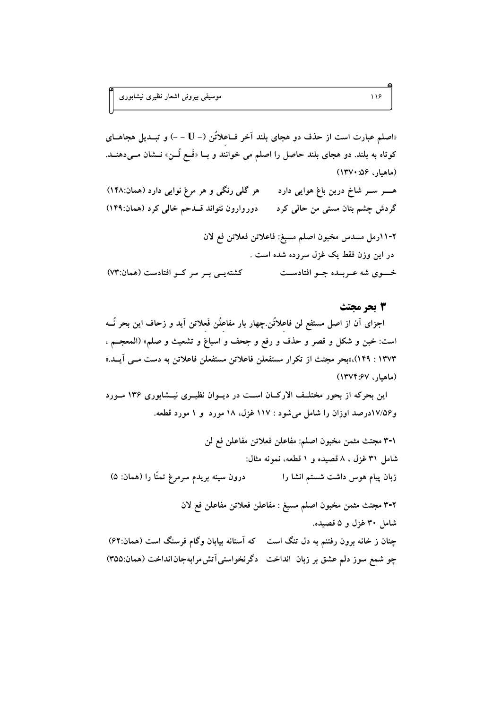«اصلم عبارت است از حذف دو هجای بلند آخر فــاعلاتُن (- U - -) و تبــدیل هجاهــای کوتاه به بلند. دو هجای بلند حاصل را اصلم می خوانند و بــا «فَــع لُــن» نــشان مــیدهنــد. (ماهيار، ۱۳۷۰)

هر گلبي رنگي و هر مرغ نوايي دارد (همان:۱۴۸) ہـــــــــر ســــــر شاخ درین باغ ہوایی دارد دوروارون نتواند قلدحم خالي كرد (همان:١۴٩) گردش چشم بتان مستی من حالی کرد

٢-١١رمل مسدس مخبون اصلم مسبغ: فاعلاتن فعلاتن فع لان در اين وزن فقط يک غزل سروده شده است . کشته یے بے سر کے افتادست (همان:٧٣) خسوی شه عـربـده جـو افتادسـت

## 3 تحر محتث

اجزای آن از اصل مستفع لن فاعلاتُن چهار بار مفاعلُن فَعلاتن آید و زحاف این بحر نُـــه است: خبن و شكل و قصر و حذف و رفع و جحف و اسباغ و تشعيث و صلم» (المعجــم ، ۱۳۷۳ : ۱۴۹)،«بحر مجتث از تكرار مستفعلن فاعلاتن مستفعلن فاعلاتن به دست مـى آيـد.» (ماهيار، ١٣٧٤:٤٧)

این بحرکه از بحور مختلـف الارکـان اسـت در دیـوان نظیـری نیـشابوری ۱۳۶ مـورد و۱۷/۵۶درصد اوزان را شامل میشود : ۱۱۷ غزل. ۱۸ مورد و ۱ مورد قطعه.

٠-٣ مجتث مثمن مخبون اصلم: مفاعلن فعلاتن مفاعلن فع لن شامل ٣١ غزل ، ٨ قصيده و ١ قطعه، نمونه مثال: درون سینه بریدم سرمرغ تمنّا را (همان: ۵) زبان پیام هوس داشت شستم انشا را ٢-٣ مجتث مثمن مخبون اصلم مسبغ : مفاعلن فعلاتن مفاعلن فع لان

شامل ۳۰ غزل و ۵ قصیده. چنان ز خانه برون رفتنم به دل تنگ است که آستانه بیابان وگام فرسنگ است (همان:۶۲) چو شمع سوز دلم عشق بر زبان انداخت دگرنخواستی اَتش مرابهجان انداخت (همان:۳۵۵)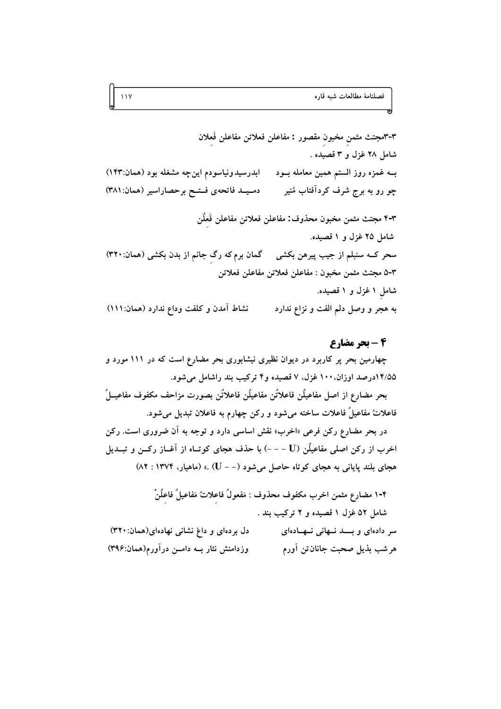٣-٣مجتث مثمن مخبون مقصور : مفاعلن فعلاتن مفاعلن فَعلان شامل ۲۸ غزل و ۳ قصیده . ابدرسیدونیاسودم اینچه مشغله بود (همان:۱۴۳) بــه غمزه روز الستم همین معامله بــود دميمد فاتحهى فتتح برحصاراسير (همان: ٣٨١) چو رو به برج شرف کردآفتاب مُنیر ۴-۲ مجتث مثمن مخبون محذوف: مفاعلن فعلاتن مفاعلن فَعلَن شامل ۲۵ غزل و ۱ قصیده. سحر کــه سنبلم از جیب پیرهن بکشی گمان برمکه رگ جانم از بدن بکشی (همان:۳۲۰) ٥-٣ مجتث مثمن مخبون : مفاعلن فعلاتن مفاعلن فعلاتن شامل ۱ غزل و ۱ قصیده. نشاط آمدن و كلفت وداع ندارد (همان: ١١١) به هجر و وصل دلم الفت و نزاع ندارد

## 4 - بحر مضارع

چهارمین بحر پر کاربرد در دیوان نظیری نیشابوری بحر مضارع است که در ۱۱۱ مورد و ۱۴/۵۵درصد اوزان، ۱۰۰ غزل، ۷ قصیده و۴ ترکیب بند راشامل میشود. بحر مضارع از اصل مفاعيلُن فاعلاتُن مفاعيلُن فاعلاتُن بصورت مزاحف مكفوف مفاعيــلُ فاعلاتُ مفاعيلُ فاعلات ساخته ميشود و رکن چهارم به فاعلان تبديل ميشود. در بحر مضارع رکن فرعی «اخرب» نقش اساسی دارد و توجه به آن ضروری است. رکن اخرب از رکن اصلی مفاعیلُن (U – – –) با حذف هجای کوتـاه از آغــاز رکــن و تبــدیل هجای بلند پایانی به هجای کوتاه حاصل میشود (– – U) .» (ماهیار، ۱۳۷۴ : ۸۲)

۴-۱ مضارع مثمن اخرب مكفوف محذوف : مَفعولُ فاعلاتٌ مَفاعيلُ فاعلُنْ شامل ۵۲ غزل ۱ قصیده و ۲ ترکیب بند . دل بردهای و داغ نشانی نهادهای(همان: ۳۲۰) سر دادهای و بسد نهانی نهادهای وزدامنش نثار بــه دامــن درآورم(همان:۳۹۶) هر شب بذیل صحبت جانان تن آورم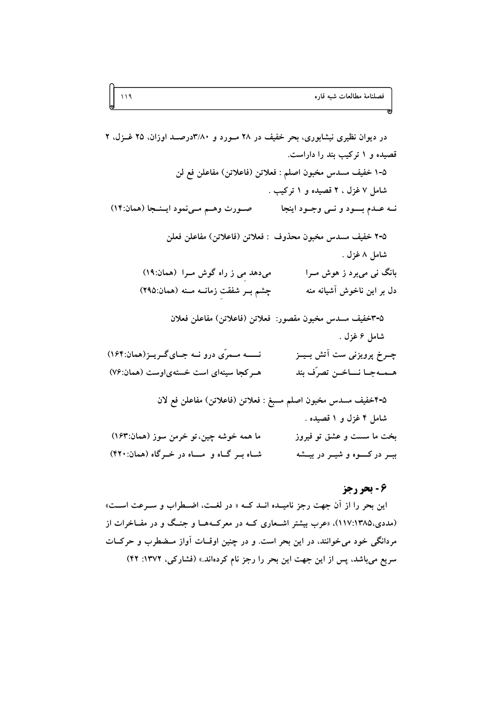در دیوان نظیری نیشابوری، بحر خفیف در ۲۸ مـورد و ۳/۸۰درصـد اوزان، ۲۵ غــزل، ۲ قصیده و ۱ ترکیب بند را داراست. 0-١ خفيف مسدس مخبون اصلم : فعلاتن (فاعلاتن) مفاعلن فع لن شامل ۷ غزل ، ۲ قصیده و ۱ ترکیب . صورت وهم مرضود اينجا (همان:١٤) نــه عــدم بــــود و نــي وجــود اينجا ٧-٥ خفيف مسدس مخبون محذوف : فعلاتن (فاعلاتن) مفاعلن فعلن شامل ۸غزل . میدهد می ز راه گوش مرا (همان:۱۹) بانگ نبی می برد ز هوش مــرا چشم بـر شفقت زمانــه مــنه (همان:٢٩٥) دل بر اين ناخوش آشيانه منه ۵-٣خفيف مسدس مخبون مقصور: فعلاتن (فاعلاتن) مفاعلن فعلان شامل ۶ غزل . نـــــه مــمرّى درو نــه جــاى گــريــز(همان:۱۶۴) چے خ پرویزنی ست آتش بےز هـر كجا سينهاى است خستهى اوست (همان:٧۶) هــمــهجــا نــــاخــن تصرّف بند ۵-۴خفيف مسدس مخبون اصلم مسبغ : فعلاتن (فاعلاتن) مفاعلن فع لان شامل ۴ غزل و ۱ قصیده . ما همه خوشه چین،تو خرمن سوز (همان:۱۶۳) بخت ما سست و عشق تو فيروز شاه بر گاه و مساه در خرگاه (همان:۴۲۰) ببــر در کـــــوه و شیـــر در بیـــشه

## ٦ - بحر رجز

این بحر را از آن جهت رجز نامیــده انــد کــه « در لغــت، اضــطراب و ســرعت اســت» (مددی،۱۲۸۵)،۲۵)، «عرب بیشتر اشـعاری کــه در معرکــههــا و جنــگ و در مفــاخرات از مردانگی خود می خوانند، در این بحر است. و در چنین اوقــات آواز مــضطرب و حرکــات سریع می باشد، پس از این جهت این بحر را رجز نام کردهاند.» (فشارکی، ۱۳۷۲: ۴۲)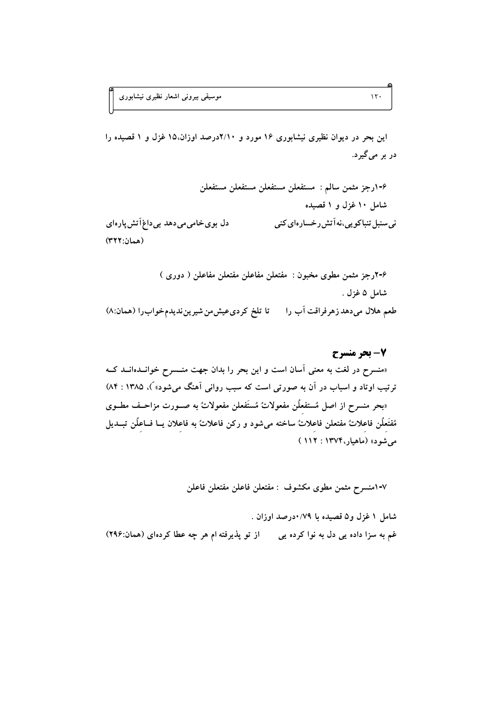این بحر در دیوان نظیری نیشابوری ۱۶ مورد و ۲/۱۰درصد اوزان،۱۵ غزل و ۱ قصیده را دربر مي گيرد.

۶-۲رجز مثمن مطوى مخبون : مفتعلن مفاعلن مفتعلن مفاعلن ( دورى ) شامل ۵ غزل . طعم هلال میدهد زهرفراقت آب را مستا تلخ کردی عیش من شیرین ندیدم خواب را (همان:۸)

7- بحر منسرح «منسرح در لغت به معنى آسان است و اين بحر را بدان جهت منــسرح خوانــدهانــد كــه ترتیب اوتاد و اسباب در آن به صورتی است که سبب روانی آهنگ میشود» ً)، ۱۳۸۵ : ۸۴) «بحر منسرح از اصل مُستفعلُن مفعولاتٌ مُستَفعلن مفعولاتٌ به صـورت مزاحـف مطــوى مُفتَعلُن فاعلاتٌ مفتعلن فاعلاتٌ ساخته مىشود و ركن فاعلاتٌ به فاعلان يــا فــاعلُن تبــديل مي شود» (ماهيار، ۱۳۷۴ : ۱۱۲)

٧-١منسرح مثمن مطوى مكشوف : مفتعلن فاعلن مفتعلن فاعلن

شامل ۱ غزل و۵ قصیده با ۰/۷۹درصد اوزان . غم به سزا داده یی دل به نوا کرده یی از تو پذیرفته ام هر چه عطا کردهای (همان:۲۹۶)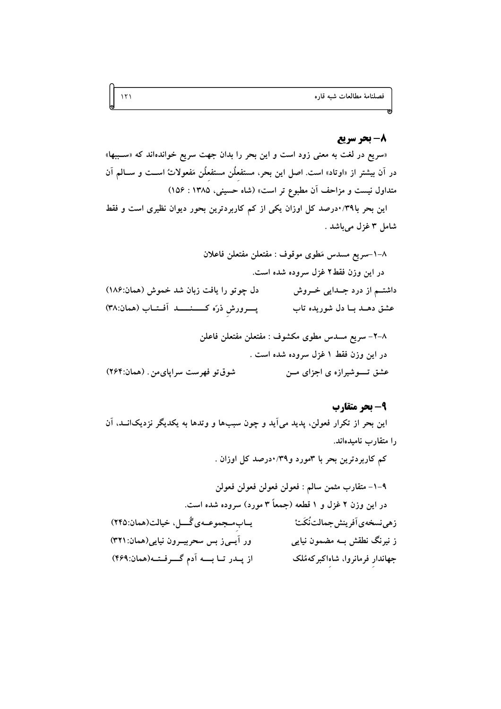## 8- بحر سريع

«سریع در لغت به معنی زود است و این بحر را بدان جهت سریع خواندهاند که «سـببها» در آن بیشتر از «اوتاد» است. اصل این بحر، مستفعلٌن مستفعِلُن مَفعولاتُ اســت و ســالم آن متداول نیست و مزاحف آن مطبوع تر است» (شاه حسینی، ۱۳۸۵ : ۱۵۶)

این بحر با۳۹/۰درصد کل اوزان یکی از کم کاربردترین بحور دیوان نظیری است و فقط شامل ۳ غزل میباشد .

٨–١-سريع مسدس مَطوى موقوف : مفتعلن مفتعلن فاعلان در این وزن فقط۲ غزل سروده شده است. دل چوتو را یافت زبان شد خموش (همان:۱۸۶) داشتــم از درد جــدایی خــروش پرورش ذرّه كـــنـــد آفتاب (همان:٣٨) عشق دهـد بــا دل شوريده تاب ٨–٢- سريع مسدس مطوى مكشوف : مفتعلن مفتعلن فاعلن

### 9- بحر متقارب

این بحر از تکرار فعولن، پدید میآید و چون سببها و وتدها به یکدیگر نزدیکانــد، آن را متقارب نامیدهاند.

کم کاربردترین بحر با ۳مورد و۳۹/۰درصد کل اوزان .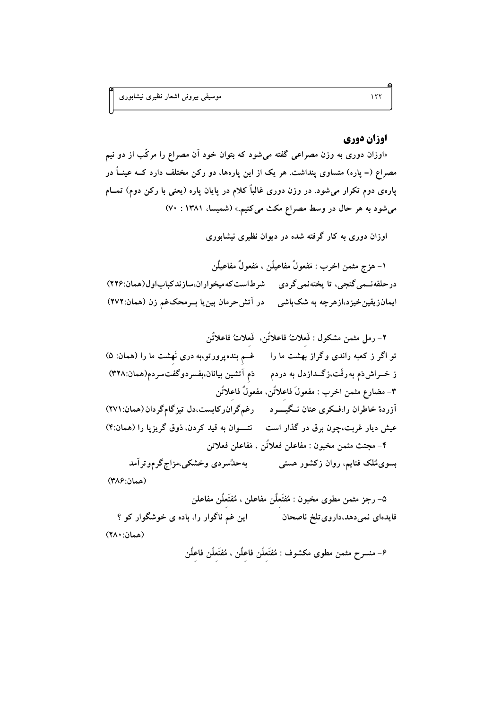## اوزان دوري

«اوزان دوری به وزن مصراعی گفته میشود که بتوان خود آن مصراع را مرکّب از دو نیم مصراع (= پاره) متساوی پنداشت. هر یک از این پارهها، دو رکن مختلف دارد کــه عینــاً در پارهی دوم تکرار میشود. در وزن دوری غالباً کلام در پایان پاره (یعنی با رکن دوم) تمــام می شود به هر حال در وسط مصراع مکث می کنیم.» (شمیسا، ۱۳۸۱ : ۷۰)

اوزان دوری به کار گرفته شده در دیوان نظیری نیشابوری

١– هزج مثمن اخرب : مَفعولُ مفاعيلُن ، مَفعولُ مفاعيلُن درحلقەنــمى گنجى، تا پختەنمى گردى ھىرطاست كەميخواران.سازندكباباول(ھمان:۲۲۶) ایمانزیقینخیزد،ازهرچه به شک!شی در آتش حرمان بین یا بــرمحکغم زن (همان:۲۷۲)

٢- رمل مثمن مشكول : فَعلاتُ فاعلاتُن، فَعلاتُ فاعلاتُن تو اگر ز کعبه راندی وگراز بهشت ما را مسلم بندهپرورتو،به دری نَهشت ما را (همان: ۵) ز خــراش۵م به رقّت،زگــدازدل به دردم ده دَم آتشین بیانان،بفسردوگفتسردم(همان:۳۲۸) ٣- مضارع مثمن اخرب : مفعولَ فاعلاتُن، مفعولُ فاعلاتُن آزردهٔ خاطران را،فـکری عنان نـگیــــرد درغمگران٫کابست،دل تیزگامگردان(همان:۲۷۱) عیش دیار غربت،چون برق در گذار است هنتسوان به قید کردن، ذوق گریزیا را (همان:۴) ۴– مجتث مثمن مخبون : مفاعلن فعلاتُن ، مَفاعلن فعلاتن بهحدٌسردي وخشکي،مزاج گرموتر آمد بسوی مُلک فنایم، روان زکشور هستی (همان:٣٨۶)

۵– رجز مثمن مطوى مخبون : مُفتَعلَن مفاعلن ، مُفتَعلَن مفاعلن این غم ناگوار را، باده ی خوشگوار کو ؟ فايدهاي نمى دهد،داروي تلخ ناصحان (همان: ٢٨٠)

۶– منسرح مثمن مطوى مكشوف : مُفْتَعلُن فاعلُن ، مُفْتَعلُن فاعلُن

 $157$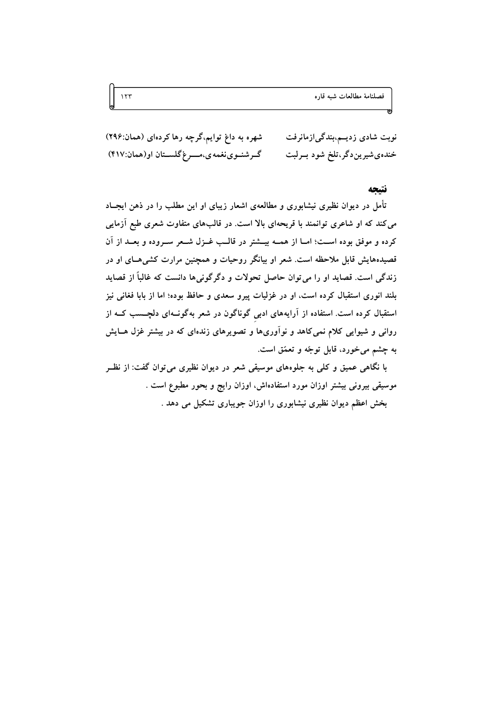شهره به داغ توایم،گرچه رها کردهای (همان:۲۹۶) نوبت شادی زدیــم،بندگی|زمانرفت خندهيشيرين دگر،تلخ شود بــرلبت گرشنوی نغمه ی،موغ گلستان او(همان:۴۱۷)

#### نتتحه

تأمل در دیوان نظیری نیشابوری و مطالعهی اشعار زیبای او این مطلب را در ذهن ایجــاد می کند که او شاعری توانمند با قریحهای بالا است. در قالبهای متفاوت شعری طبع آزمایی کرده و موفق بوده اسـت؛ امــا از همــه بيـــشتر در قالــب غــزل شــعر ســروده و بعــد از آن قصیدههایش قابل ملاحظه است. شعر او بیانگر روحیات و همچنین مرارت کش<sub>می</sub>هـای او در زندگی است. قصاید او را می توان حاصل تحولات و دگرگونی۵ا دانست که غالباً از قصاید بلند انوری استقبال کرده است، او در غزلیات پیرو سعدی و حافظ بوده؛ اما از بابا فغانی نیز استقبال کرده است. استفاده از آرایههای ادبی گوناگون در شعر بهگونــهای دلچـــسب کــه از روانی و شیوایی کلام نمیکاهد و نوآوریها و تصویرهای زندهای که در بیشتر غزل هــایش به چشم مي خورد، قابل توجّه و تعمّق است.

با نگاهی عمیق و کلی به جلوههای موسیقی شعر در دیوان نظیری می توان گفت: از نظـر موسیقی بیرونی بیشتر اوزان مورد استفادهاش، اوزان رایج و بحور مطبوع است . بخش اعظم دیوان نظیری نیشابوری را اوزان جویباری تشکیل می دهد .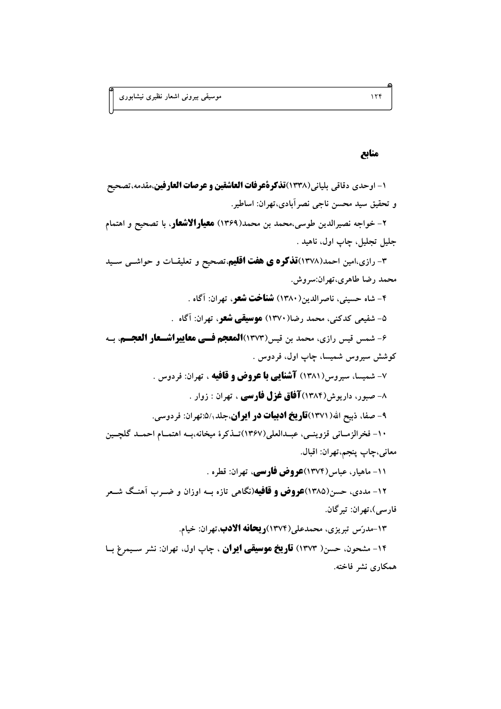## منابع

1- اوحدي دقاقي بلياني(١٣٣٨)**تذكرةُعرفات العاشقين و عرصات العارفين**،مقدمه،تصحيح و تحقيق سيد محسن ناجي نصرآبادي،تهران: اساطير.

۲- خواجه نصیرالدین طوسی،محمد بن محمد(۱۳۶۹) **معیارالاشعار**، با تصحیح و اهتمام جليل تجليل، چاپ اول، ناهيد .

۳- رازی،امین احمد(۱۳۷۸)**تذکره ی هفت اقلیم**،تصحیح و تعلیقــات و حواشــی ســید محمد رضا طاهري،تهران:سروش.

۴- شاه حسینی، ناصرالدین(۱۳۸۰) **شناخت شعر**، تهران: آگاه .

۵- شفیعی کدکنی، محمد رضا(۱۳۷۰) **موسیقی شعر**، تهران: آگاه .

۶- شمس قيس رازي، محمد بن قيس(١٣٧٣)**المعجم فسي معاييراشسعار العجسم**، بـه کوشش سیروس شمیسا، چاپ اول، فردوس .

۷- شمیسا، سیروس(۱۳۸۱) **آشنایی با عروض و قافیه** ، تهران: فردوس .

۸– صبور، داریوش(۱۳۸۴)**آفاق غزل فارسی** ، تهران : زوار .

۹- صفا، ذبیح الله( ۱۳۷۱)**تاریخ ادبیات در ایران**،جلد ۵/٫ تهران: فردوسی.

١٠- فخرالزمــاني قزوينــي، عبــدالعلي(١٣٤٧)تــذكرة ميخانه،بــه اهتمــام احمــد گلچــين معاني،چاپ پنجم،تهران: اقبال.

۱۱- ماهیار، عباس(۱۳۷۴)**عروض فارسی**، تهران: قطره .

۱۲- مددی، حسن(۱۳۸۵)**عروض و قافیه**(نگاهی تازه بــه اوزان و ضــرب آهنــگ شــعر فارسي)،تهران: تيرگان.

۱۳-مدرّس تبریزی، محمدعلی(۱۳۷۴)**ریحانه الادب**،تهران: خیام. ۱۴- مشحون، حسن( ۱۳۷۳) **تاریخ موسیقی ایران** ، چاپ اول، تهران: نشر سـیمرغ بـا همکاری نشر فاخته.

 $156$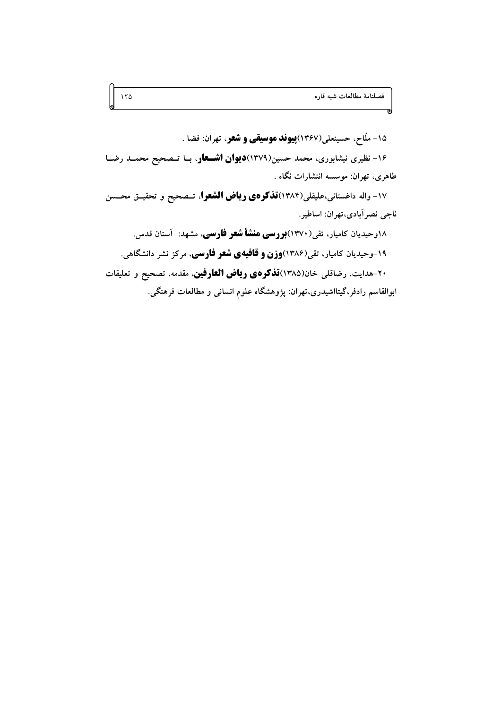۱۵- ملّاح، حسینعلی(۱۳۶۷)**پیوند موسیقی و شعر**، تهران: فضا . ۱۶- نظیری نیشابوری، محمد حسین(۱۳۷۹)**دیوان اشــعار**، بــا تــصحیح محمــد رضــا طاهری، تهران: موسسه انتشارات نگاه . ۱۷- واله داغستانی،علیقلی(۱۳۸۴)ق**ذکرهی ریاض الشعرا**، تــصحیح و تحقیــق محــسن ناجي نصر آبادي،تهران: اساطير. ۱۸وحیدیان کامیار، تقی(۱۳۷۰)**بورسی منشأ شعر فارسی**، مشهد: آستان قدس. ۱۹-وحیدیان کامیار، تقی(۱۳۸۶)**وزن و قافیهی شعر فارسی**، مرکز نشر دانشگاهی. ۲۰-هدایت، رضاقلی خان(۱۳۸۵)ق**ذکرهی ریاض العارفین**، مقدمه، تصحیح و تعلیقات

ابوالقاسم رادفر،گیتااشیدری،تهران: پژوهشگاه علوم انسانی و مطالعات فرهنگی.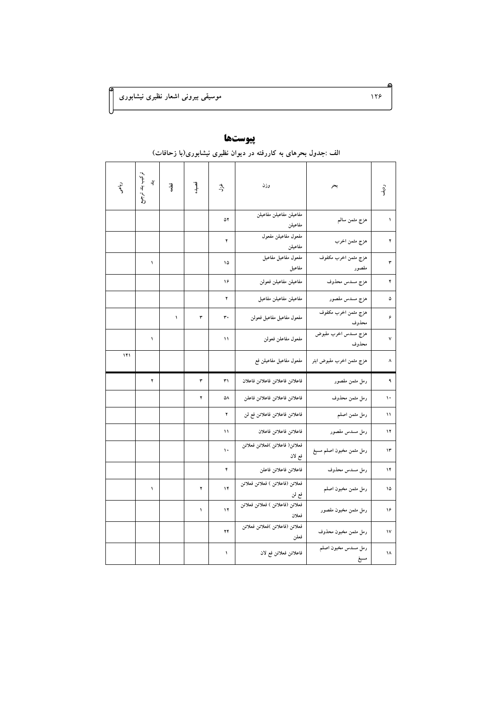| ردية. | بحر                          | وزن                                      | يلين | قصيده      | ۋا | ترکیب بند<br>$\overline{3}$<br>بيتي.<br>وفي | دياحم |  |  |  |
|-------|------------------------------|------------------------------------------|------|------------|----|---------------------------------------------|-------|--|--|--|
| ١     | هزج مثمن سالم                | مفاعيلن مفاعيلن مفاعيلن<br>مفاعيلن       | ۵۲   |            |    |                                             |       |  |  |  |
| ۲     | هزج مثمن اخرب                | مفعول مفاعيلن مفعول<br>مفاعيلن           | ۲    |            |    |                                             |       |  |  |  |
| ٣     | هزج مثمن اخرب مكفوف<br>مقصور | مفعول مفاعيل مفاعيل<br>مفاعيل            | ۱۵   |            |    | ١                                           |       |  |  |  |
| ۴     | هزج مسدس محذوف               | مفاعيلن مفاعيلن فعولن                    | ۱۶   |            |    |                                             |       |  |  |  |
| ۵     | هزج مسدس مقصور               | مفاعيلن مفاعيلن مفاعيل                   | ۲    |            |    |                                             |       |  |  |  |
| ۶     | هزج مثمن اخرب مكفوف<br>محذوف | مفعول مفاعيل مفاعيل فعولن                | ٣٠   | ٣          | ١  |                                             |       |  |  |  |
| ٧     | هزج مسدس اخرب مقبوض<br>محذوف | مفعول مفاعلن فعولن                       | ١١   |            |    | ١                                           |       |  |  |  |
| ٨     | هزج مثمن اخرب مقبوض ابتر     | مفعول مفاعيل مفاعيلن فع                  |      |            |    |                                             | ۱۴۱   |  |  |  |
| ٩     | رمل مثمن مقصور               | فاعلاتن فاعلاتن فاعلاتن فاعلان           | ٣١   | ٣          |    | ۲                                           |       |  |  |  |
| ١.    | رمل مثمن محذوف               | فاعلاتن فاعلاتن فاعلاتن فاعلن            | ۵٨   | ۲          |    |                                             |       |  |  |  |
| ١١    | رمل مثمن اصلم                | فاعلاتن فاعلاتن فاعلاتن فع لن            | ۲    |            |    |                                             |       |  |  |  |
| ۱۲    | رمل مسدس مقصور               | فاعلاتن فاعلاتن فاعلان                   | ۱۱   |            |    |                                             |       |  |  |  |
| ۱۳    | رمل مثمن مخبون اصلم مسبغ     | فعلاتن( فاعلاتن )فعلاتن فعلاتن<br>فع لان | ١.   |            |    |                                             |       |  |  |  |
| ۱۴    | رمل مسدس محذوف               | فاعلاتن فاعلاتن فاعلن                    | ۴    |            |    |                                             |       |  |  |  |
| ۱۵    | رمل مثمن مخبون اصلم          | فعلاتن (فاعلاتن ) فعلاتن فعلاتن<br>فع لن | ۱۴   | ۲          |    | ١                                           |       |  |  |  |
| ۱۶    | رمل مثمن مخبون مقصور         | فعلاتن (فاعلاتن ) فعلاتن فعلاتن<br>فعلان | ۱۲   | $\sqrt{2}$ |    |                                             |       |  |  |  |
| ١٧    | رمل مثمن مخبون محذوف         | فعلاتن (فاعلاتن )فعلاتن فعلاتن<br>فعلن   | ۲۴   |            |    |                                             |       |  |  |  |
| ۱۸    | رمل مسدس مخبون اصلم<br>مسبغ  | فاعلاتن فعلاتن فع لان                    | ١    |            |    |                                             |       |  |  |  |

# پيوستها

#### الف :جدول بحرهای به کاررفته در دیوان نظیری نیشابوری(با زحافات)

 $155$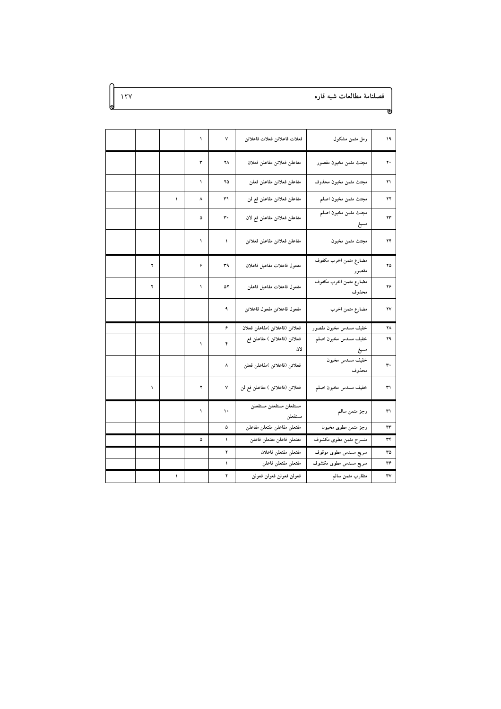## فصلنامهٔ مطالعات شبه قاره

 $\gamma$ 

| ۱۹ | رمل مثمن مشكول                   | فعلات فاعلاتن فعلات فاعلاتن        | ٧  | ١          |   |  |
|----|----------------------------------|------------------------------------|----|------------|---|--|
| ۲۰ | مجتث مثمن مخبون مقصور            | مفاعلن فعلاتن مفاعلن فعلان         | ۲۸ | ٣          |   |  |
| ۲۱ | مجتث مثمن مخبون محذوف            | مفاعلن فعلاتن مفاعلن فعلن          | ۲۵ | ١          |   |  |
| ۲۲ | مجتث مثمن مخبون اصلم             | مفاعلن فعلاتن مفاعلن فع لن         | ٣١ | ٨          |   |  |
| ۲۳ | مجتث مثمن مخبون اصلم<br>مسبع     | مفاعلن فعلاتن مفاعلن فع لان        | ٣٠ | ۵          |   |  |
| ۲۴ | مجتث مثمن مخبون                  | مفاعلن فعلاتن مفاعلن فعلاتن        | ١  | ١          |   |  |
| ۲۵ | مضارع مثمن اخرب مكفوف<br>مقصور   | مفعول فاعلات مفاعيل فاعلان         | ٣٩ | ۶          | ۲ |  |
| ۲۶ | مضارع مثمن اخرب مكفوف<br>محذوف   | مفعول فاعلات مفاعيل فاعلن          | ۵۲ | ١          | ۲ |  |
| ۲۷ | مضارع مثمن اخرب                  | مفعول فاعلاتن مفعول فاعلاتن        | ٩  |            |   |  |
| ۲٨ | خفيف مسدس مخبون مقصور            | فعلاتن (فاعلاتن )مفاعلن فعلان      | ۶  |            |   |  |
| ۲۹ | خفيف مسدس مخبون اصلم             | فعلاتن (فاعلاتن ) مفاعلن فع<br>لان | ۴  | ١          |   |  |
| ٣٠ | مسبع<br>خفيف مسدس مخبون<br>محذوف | فعلاتن (فاعلاتن )مفاعلن فعلن       | ٨  |            |   |  |
| ٣١ | خفيف مسدس مخبون اصلم             | فعلاتن (فاعلاتن ) مفاعلن فع لن     | ٧  | ۲          | ١ |  |
| ٣١ | رجز مثمن سالم                    | مستفعلن مستفعلن مستفعلن<br>مستفعلن | ١. | $\sqrt{2}$ |   |  |
| ٣٣ | رجز مثمن مطوى مخبون              | مفتعلن مفاعلن مفتعلن مفاعلن        | ۵  |            |   |  |
| ٣۴ | منسرح مثمن مطوى مكشوف            | مفتعلن فاعلن مفتعلن فاعلن          | ١  | ۵          |   |  |
| ٣۵ | سريع مسدس مطوى موقوف             | مفتعلن مفتعلن فاعلان               | ۲  |            |   |  |
| ٣۶ | سریع مسدس مطوی مکشوف             | مفتعلن مفتعلن فاعلن                | ١  |            |   |  |
|    |                                  |                                    |    |            |   |  |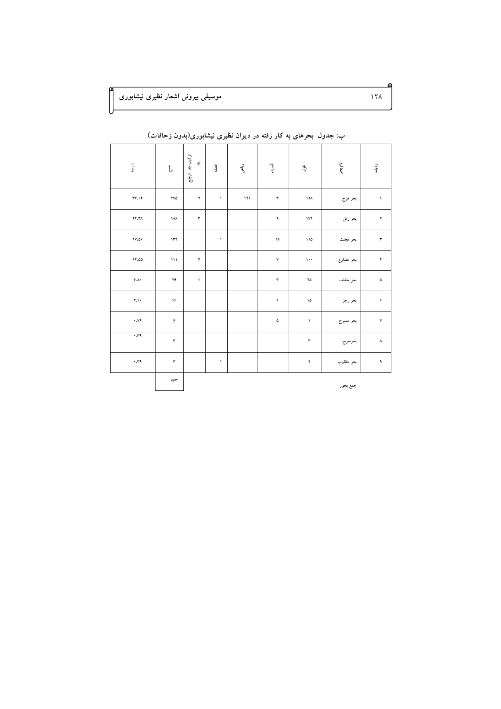موسیقی بیرونی اشعار نظیری نیشابوری

| درصد                          | Ł               | تركيب بند<br>$\mathbf{3}^{\star}$<br>$\tilde{\mathcal{E}}$ | قطعه         | زباحى | قصيده              | ېچ                     | نام بعر    | رديف                   |
|-------------------------------|-----------------|------------------------------------------------------------|--------------|-------|--------------------|------------------------|------------|------------------------|
| $YY \cdot Y$                  | <b>YVA</b>      | ۲                                                          | $\backslash$ | 141   | $\mathbf r$        | ۱۲۸                    | بحر هزج    | $\boldsymbol{\lambda}$ |
| YY.Y'A                        | ۱۸۶             | $\mathbf r$                                                |              |       | ٩                  | $\mathsf{IVF}$         | بحر رمل    | ۲                      |
| 1V.09                         | 155             |                                                            | $\Lambda$    |       | ١٨                 | 110                    | بحر مجتث   | $\mathbf r$            |
| 11.00                         | $\mathbf{M}$    | $\mathfrak{r}$                                             |              |       | $\mathsf{v}$       | $\cdots$               | بحر مضارع  | $\mathbf{\tilde{r}}$   |
| $\mathbf{r} \cdot \mathbf{v}$ | ٢٩              | $\Lambda$                                                  |              |       | $\mathbf r$        | ۲۵                     | بحر خفيف   | ۵                      |
| Y, Y                          | ۱۶              |                                                            |              |       | $\bar{\mathbf{v}}$ | ١۵                     | بحر رجز    | $\pmb{\varphi}$        |
| .94                           | $\pmb{\varphi}$ |                                                            |              |       | ۵                  | $\boldsymbol{\lambda}$ | بحر منسرح  | $\mathsf{v}$           |
| .11                           | ٣               |                                                            |              |       |                    | ٣                      | بحرسريع    | $\pmb{\wedge}$         |
| .11                           | $\pmb{\tau}$    |                                                            | $\bar{ }$    |       |                    | $\pmb{\mathrm{Y}}$     | بحر متقارب | $\spadesuit$           |
|                               | ۷۶۳             |                                                            |              |       |                    |                        | جمع بحور   |                        |

ب: جدول بحرهای به کار رفته در دیوان نظیری نیشابوری(بدون زحافات)

 $15<sub>A</sub>$